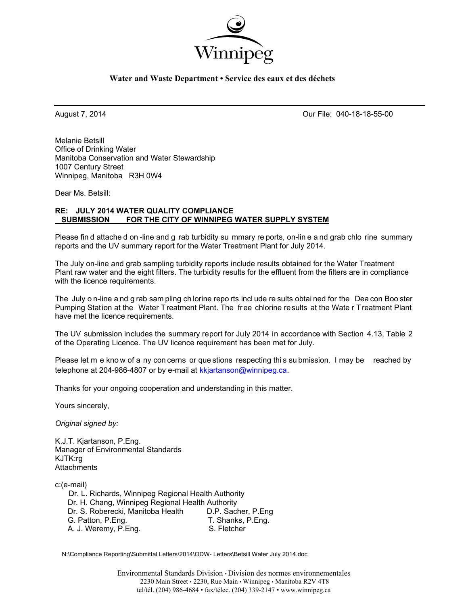

### **Water and Waste Department • Service des eaux et des déchets**

August 7, 2014 Our File: 040-18-18-55-00

Melanie Betsill Office of Drinking Water Manitoba Conservation and Water Stewardship 1007 Century Street Winnipeg, Manitoba R3H 0W4

Dear Ms. Betsill:

### **RE: JULY 2014 WATER QUALITY COMPLIANCE SUBMISSION FOR THE CITY OF WINNIPEG WATER SUPPLY SYSTEM**

Please fin d attache d on -line and g rab turbidity su mmary re ports, on-lin e a nd grab chlo rine summary reports and the UV summary report for the Water Treatment Plant for July 2014.

The July on-line and grab sampling turbidity reports include results obtained for the Water Treatment Plant raw water and the eight filters. The turbidity results for the effluent from the filters are in compliance with the licence requirements.

The July o n-line a nd g rab sam pling ch lorine repo rts incl ude re sults obtai ned for the Dea con Boo ster Pumping Station at the Water Treatment Plant. The free chlorine results at the Wate r Treatment Plant have met the licence requirements.

The UV submission includes the summary report for July 2014 in accordance with Section 4.13, Table 2 of the Operating Licence. The UV licence requirement has been met for July.

Please let m e know of a ny con cerns or que stions respecting this su bmission. I may be reached by telephone at 204-986-4807 or by e-mail at kkjartanson@winnipeg.ca.

Thanks for your ongoing cooperation and understanding in this matter.

Yours sincerely,

*Original signed by:* 

K.J.T. Kjartanson, P.Eng. Manager of Environmental Standards KJTK:rg **Attachments** 

c:(e-mail) Dr. L. Richards, Winnipeg Regional Health Authority Dr. H. Chang, Winnipeg Regional Health Authority<br>Dr. S. Roberecki, Manitoba Health D.P. Sacher, P.Eng Dr. S. Roberecki, Manitoba Health<br>G. Patton, P.Eng. T. Shanks, P.Eng.<br>S. Fletcher A. J. Weremy, P.Eng.

N:\Compliance Reporting\Submittal Letters\2014\ODW- Letters\Betsill Water July 2014.doc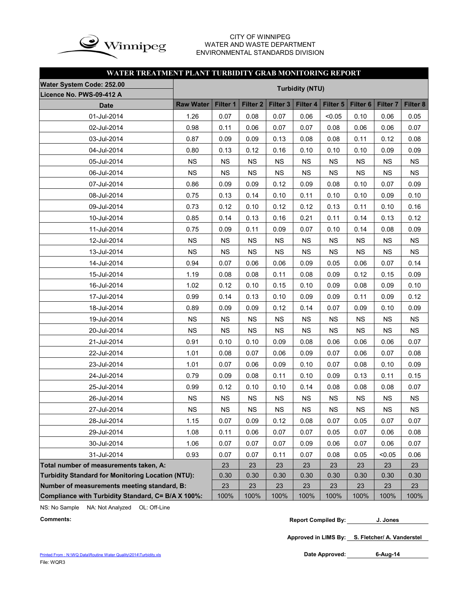

### CITY OF WINNIPEG WATER AND WASTE DEPARTMENT ENVIRONMENTAL STANDARDS DIVISION

### **WATER TREATMENT PLANT TURBIDITY GRAB MONITORING REPORT**

| Water System Code: 252.00                          | <b>Turbidity (NTU)</b> |           |                     |                     |           |           |                     |                     |           |
|----------------------------------------------------|------------------------|-----------|---------------------|---------------------|-----------|-----------|---------------------|---------------------|-----------|
| Licence No. PWS-09-412 A                           |                        |           |                     |                     |           |           |                     |                     |           |
| <b>Date</b>                                        | <b>Raw Water</b>       | Filter 1  | Filter <sub>2</sub> | Filter <sub>3</sub> | Filter 4  | Filter 5  | Filter <sub>6</sub> | Filter <sub>7</sub> | Filter 8  |
| 01-Jul-2014                                        | 1.26                   | 0.07      | 0.08                | 0.07                | 0.06      | < 0.05    | 0.10                | 0.06                | 0.05      |
| 02-Jul-2014                                        | 0.98                   | 0.11      | 0.06                | 0.07                | 0.07      | 0.08      | 0.06                | 0.06                | 0.07      |
| 03-Jul-2014                                        | 0.87                   | 0.09      | 0.09                | 0.13                | 0.08      | 0.08      | 0.11                | 0.12                | 0.08      |
| 04-Jul-2014                                        | 0.80                   | 0.13      | 0.12                | 0.16                | 0.10      | 0.10      | 0.10                | 0.09                | 0.09      |
| 05-Jul-2014                                        | <b>NS</b>              | <b>NS</b> | <b>NS</b>           | <b>NS</b>           | <b>NS</b> | <b>NS</b> | <b>NS</b>           | <b>NS</b>           | <b>NS</b> |
| 06-Jul-2014                                        | <b>NS</b>              | <b>NS</b> | <b>NS</b>           | <b>NS</b>           | <b>NS</b> | <b>NS</b> | <b>NS</b>           | <b>NS</b>           | <b>NS</b> |
| 07-Jul-2014                                        | 0.86                   | 0.09      | 0.09                | 0.12                | 0.09      | 0.08      | 0.10                | 0.07                | 0.09      |
| 08-Jul-2014                                        | 0.75                   | 0.13      | 0.14                | 0.10                | 0.11      | 0.10      | 0.10                | 0.09                | 0.10      |
| 09-Jul-2014                                        | 0.73                   | 0.12      | 0.10                | 0.12                | 0.12      | 0.13      | 0.11                | 0.10                | 0.16      |
| 10-Jul-2014                                        | 0.85                   | 0.14      | 0.13                | 0.16                | 0.21      | 0.11      | 0.14                | 0.13                | 0.12      |
| 11-Jul-2014                                        | 0.75                   | 0.09      | 0.11                | 0.09                | 0.07      | 0.10      | 0.14                | 0.08                | 0.09      |
| 12-Jul-2014                                        | <b>NS</b>              | <b>NS</b> | <b>NS</b>           | <b>NS</b>           | <b>NS</b> | <b>NS</b> | <b>NS</b>           | <b>NS</b>           | <b>NS</b> |
| 13-Jul-2014                                        | <b>NS</b>              | <b>NS</b> | <b>NS</b>           | <b>NS</b>           | <b>NS</b> | <b>NS</b> | <b>NS</b>           | <b>NS</b>           | <b>NS</b> |
| 14-Jul-2014                                        | 0.94                   | 0.07      | 0.06                | 0.06                | 0.09      | 0.05      | 0.06                | 0.07                | 0.14      |
| 15-Jul-2014                                        | 1.19                   | 0.08      | 0.08                | 0.11                | 0.08      | 0.09      | 0.12                | 0.15                | 0.09      |
| 16-Jul-2014                                        | 1.02                   | 0.12      | 0.10                | 0.15                | 0.10      | 0.09      | 0.08                | 0.09                | 0.10      |
| 17-Jul-2014                                        | 0.99                   | 0.14      | 0.13                | 0.10                | 0.09      | 0.09      | 0.11                | 0.09                | 0.12      |
| 18-Jul-2014                                        | 0.89                   | 0.09      | 0.09                | 0.12                | 0.14      | 0.07      | 0.09                | 0.10                | 0.09      |
| 19-Jul-2014                                        | <b>NS</b>              | <b>NS</b> | <b>NS</b>           | <b>NS</b>           | <b>NS</b> | <b>NS</b> | <b>NS</b>           | <b>NS</b>           | <b>NS</b> |
| 20-Jul-2014                                        | <b>NS</b>              | <b>NS</b> | <b>NS</b>           | <b>NS</b>           | <b>NS</b> | <b>NS</b> | <b>NS</b>           | <b>NS</b>           | <b>NS</b> |
| 21-Jul-2014                                        | 0.91                   | 0.10      | 0.10                | 0.09                | 0.08      | 0.06      | 0.06                | 0.06                | 0.07      |
| 22-Jul-2014                                        | 1.01                   | 0.08      | 0.07                | 0.06                | 0.09      | 0.07      | 0.06                | 0.07                | 0.08      |
| 23-Jul-2014                                        | 1.01                   | 0.07      | 0.06                | 0.09                | 0.10      | 0.07      | 0.08                | 0.10                | 0.09      |
| 24-Jul-2014                                        | 0.79                   | 0.09      | 0.08                | 0.11                | 0.10      | 0.09      | 0.13                | 0.11                | 0.15      |
| 25-Jul-2014                                        | 0.99                   | 0.12      | 0.10                | 0.10                | 0.14      | 0.08      | 0.08                | 0.08                | 0.07      |
| 26-Jul-2014                                        | <b>NS</b>              | <b>NS</b> | <b>NS</b>           | <b>NS</b>           | <b>NS</b> | <b>NS</b> | <b>NS</b>           | <b>NS</b>           | <b>NS</b> |
| 27-Jul-2014                                        | NS                     | <b>NS</b> | <b>NS</b>           | <b>NS</b>           | <b>NS</b> | <b>NS</b> | <b>NS</b>           | <b>NS</b>           | <b>NS</b> |
| 28-Jul-2014                                        | 1.15                   | 0.07      | 0.09                | 0.12                | 0.08      | 0.07      | 0.05                | 0.07                | 0.07      |
| 29-Jul-2014                                        | 1.08                   | 0.11      | 0.06                | 0.07                | 0.07      | 0.05      | 0.07                | 0.06                | 0.08      |
| 30-Jul-2014                                        | 1.06                   | 0.07      | 0.07                | 0.07                | 0.09      | 0.06      | 0.07                | 0.06                | 0.07      |
| 31-Jul-2014                                        | 0.93                   | 0.07      | 0.07                | 0.11                | 0.07      | 0.08      | 0.05                | < 0.05              | 0.06      |
| Total number of measurements taken, A:             |                        | 23        | 23                  | 23                  | 23        | 23        | 23                  | 23                  | 23        |
| Turbidity Standard for Monitoring Location (NTU):  |                        | 0.30      | 0.30                | 0.30                | 0.30      | 0.30      | 0.30                | 0.30                | 0.30      |
| Number of measurements meeting standard, B:        |                        | 23        | 23                  | 23                  | 23        | 23        | 23                  | 23                  | 23        |
| Compliance with Turbidity Standard, C= B/A X 100%: |                        | 100%      | 100%                | 100%                | 100%      | 100%      | 100%                | 100%                | 100%      |

NS: No Sample NA: Not Analyzed OL: Off-Line

**Approved in LIMS By: S. Fletcher/ A. Vanderstel**

Date Approved: 6-Aug-14

**Comments: Report Compiled By: J. Jones**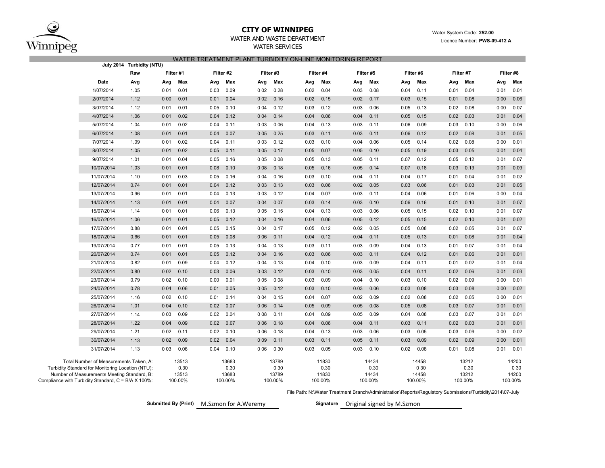

## **CITY OF WINNIPEG**

### WATER AND WASTE DEPARTMENTWATER SERVICES

### WATER TREATMENT PLANT TURBIDITY ON-LINE MONITORING REPORT

|                                                                                             | July 2014 Turbidity (NTU) |           |               |      |               |           |               |      |               |      |               |      |               |      |               |       |               |  |
|---------------------------------------------------------------------------------------------|---------------------------|-----------|---------------|------|---------------|-----------|---------------|------|---------------|------|---------------|------|---------------|------|---------------|-------|---------------|--|
|                                                                                             | Raw                       | Filter #1 |               |      | Filter #2     | Filter #3 |               |      | Filter #4     |      | Filter #5     |      | Filter #6     |      | Filter #7     |       | Filter #8     |  |
| Date                                                                                        | Avg                       | Avg       | Max           | Avg  | Max           | Avg       | Max           | Avg  | Max           | Avg  | Max           | Avg  | Max           | Avg  | Max           | Avg   | Max           |  |
| 1/07/2014                                                                                   | 1.05                      | 001       | 0.01          | 0.03 | 0.09          | 002       | 028           | 0.02 | 0.04          | 0.03 | 0.08          | 0.04 | 0.11          | 0.01 | 0.04          | 001   | 0.01          |  |
| 2/07/2014                                                                                   | 1.12                      | 000       | 0.01          | 0.01 | 0.04          | 002       | 0.16          | 0.02 | 0.15          | 0.02 | 0.17          | 0.03 | 0.15          | 0.01 | 0.08          | 000   | 0.06          |  |
| 3/07/2014                                                                                   | 1.12                      | 001       | 0.01          | 0.05 | 0.10          | 0 0 4     | 0.12          | 0.03 | 0.12          | 0.03 | 0.06          | 0.05 | 0.13          | 0.02 | 0.08          | 000   | 0.07          |  |
| 4/07/2014                                                                                   | 1.06                      | 001       | 0.02          | 0.04 | 0.12          | 004       | 0.14          | 0.04 | 0.06          | 0.04 | 0.11          | 0.05 | 0.15          | 0.02 | 0.03          | 001   | 0.04          |  |
| 5/07/2014                                                                                   | 1.04                      | 001       | 0.02          | 0.04 | 0.11          | 003       | 0 0 6         | 0.04 | 0.13          | 0.03 | 0.11          | 0.06 | 0.09          | 0.03 | 0.10          | 000   | 0.06          |  |
| 6/07/2014                                                                                   | 1.08                      | 0 0 1     | 0.01          | 0.04 | 0.07          | 005       | 025           | 0.03 | 0.11          | 0.03 | 0.11          | 0.06 | 0.12          | 0.02 | 0.08          | 001   | 0.05          |  |
| 7/07/2014                                                                                   | 1.09                      | 001       | 0.02          | 0.04 | 0.11          | 003       | 0.12          | 0.03 | 0.10          | 0.04 | 0.06          | 0.05 | 0.14          | 0.02 | 0.08          | 000   | 0.01          |  |
| 8/07/2014                                                                                   | 1.05                      | 0 0 1     | 0.02          | 0.05 | 0.11          | 005       | 0.17          | 0.05 | 0.07          | 0.05 | 0.10          | 0.05 | 0.19          | 0.03 | 0.05          | 001   | 0.04          |  |
| 9/07/2014                                                                                   | 1.01                      | 001       | 0.04          | 0.05 | 0.16          | 005       | 008           | 0.05 | 0.13          | 0.05 | 0.11          | 0.07 | 0.12          | 0.05 | 0.12          | 001   | 0.07          |  |
| 10/07/2014                                                                                  | 1.03                      | 0 0 1     | 0.01          | 0.08 | 0.10          | 008       | 0.18          | 0.05 | 0.16          | 0.05 | 0.14          | 0.07 | 0.18          | 0.03 | 0.13          | 001   | 0.09          |  |
| 11/07/2014                                                                                  | 1.10                      | 001       | 0.03          | 0.05 | 0.16          | 004       | 0.16          | 0.03 | 0.10          | 0.04 | 0.11          | 0.04 | 0.17          | 0.01 | 0.04          | 001   | 0.02          |  |
| 12/07/2014                                                                                  | 0.74                      | 0 0 1     | 0.01          | 0.04 | 0.12          | 003       | 0.13          | 0.03 | 0.06          | 0.02 | 0.05          | 0.03 | 0.06          | 0.01 | 0.03          | 001   | 0.05          |  |
| 13/07/2014                                                                                  | 0.96                      | 001       | 0.01          | 0.04 | 0.13          | 003       | 0.12          | 0.04 | 0.07          | 0.03 | 0.11          | 0.04 | 0.06          | 0.01 | 0.06          | 000   | 0.04          |  |
| 14/07/2014                                                                                  | 1.13                      | 0 0 1     | 0.01          | 0.04 | 0.07          | 004       | 007           | 0.03 | 0.14          | 0.03 | 0.10          | 0.06 | 0.16          | 0.01 | 0.10          | 001   | 0.07          |  |
| 15/07/2014                                                                                  | 1.14                      | 001       | 0.01          | 0.06 | 0.13          | 005       | 0.15          | 0.04 | 0.13          | 0.03 | 0.06          | 0.05 | 0.15          | 0.02 | 0.10          | 001   | 0.07          |  |
| 16/07/2014                                                                                  | 1.06                      | 0 0 1     | 0.01          | 0.05 | 0.12          | 004       | 0.16          | 0.04 | 0.06          | 0.05 | 0.12          | 0.05 | 0.15          | 0.02 | 0.10          | 0 0 1 | 0.02          |  |
| 17/07/2014                                                                                  | 0.88                      | 001       | 0.01          | 0.05 | 0.15          | 004       | 0.17          | 0.05 | 0.12          | 0.02 | 0.05          | 0.05 | 0.08          | 0.02 | 0.05          | 001   | 0.07          |  |
| 18/07/2014                                                                                  | 0.66                      | 0 0 1     | 0.01          | 0.05 | 0.08          | 006       | 0.11          | 0.04 | 0.12          | 0.04 | 0.11          | 0.05 | 0.13          | 0.01 | 0.08          | 0 0 1 | 0.04          |  |
| 19/07/2014                                                                                  | 0.77                      | 001       | 0.01          | 0.05 | 0.13          | 004       | 0.13          | 0.03 | 0.11          | 0.03 | 0.09          | 0.04 | 0.13          | 0.01 | 0.07          | 001   | 0.04          |  |
| 20/07/2014                                                                                  | 0.74                      | 0 0 1     | 0.01          | 0.05 | 0.12          | 004       | 0.16          | 0.03 | 0.06          | 0.03 | 0.11          | 0.04 | 0.12          | 0.01 | 0.06          | 0 0 1 | 0.01          |  |
| 21/07/2014                                                                                  | 0.82                      | 001       | 0.09          | 0.04 | 0.12          | 0 0 4     | 0.13          | 0.04 | 0.10          | 0.03 | 0.09          | 0.04 | 0.11          | 0.01 | 0.02          | 001   | 0.04          |  |
| 22/07/2014                                                                                  | 0.80                      | 002       | 0.10          | 0.03 | 0.06          | 003       | 0.12          | 0.03 | 0.10          | 0.03 | 0.05          | 0.04 | 0.11          | 0.02 | 0.06          | 0 0 1 | 0.03          |  |
| 23/07/2014                                                                                  | 0.79                      | 002       | 0.10          | 0.00 | 0.01          | 005       | 008           | 0.03 | 0.09          | 0.04 | 0.10          | 0.03 | 0.10          | 0.02 | 0.09          | 000   | 0.01          |  |
| 24/07/2014                                                                                  | 0.78                      | 004       | 0.06          | 0.01 | 0.05          | 005       | 0.12          | 0.03 | 0.10          | 0.03 | 0.06          | 0.03 | 0.08          | 0.03 | 0.08          | 000   | 0.02          |  |
| 25/07/2014                                                                                  | 1.16                      | 002       | 0.10          | 0.01 | 0.14          | 0 0 4     | 0.15          | 0.04 | 0.07          | 0.02 | 0.09          | 0.02 | 0.08          | 0.02 | 0.05          | 000   | 0.01          |  |
| 26/07/2014                                                                                  | 1.01                      | 004       | 0.10          | 0.02 | 0.07          | 006       | 0.14          | 0.05 | 0.09          | 0.05 | 0.08          | 0.05 | 0.08          | 0.03 | 0.07          | 001   | 0.01          |  |
| 27/07/2014                                                                                  | 1.14                      | 0 0 3     | 0.09          | 0.02 | 0.04          | 008       | 0.11          | 0.04 | 0.09          | 0.05 | 0.09          | 0.04 | 0.08          | 0.03 | 0.07          | 001   | 0.01          |  |
| 28/07/2014                                                                                  | 1.22                      | 004       | 0.09          | 0.02 | 0.07          | 006       | 0.18          | 0.04 | 0.06          | 0.04 | 0.11          | 0.03 | 0.11          | 0.02 | 0.03          | 001   | 0.01          |  |
| 29/07/2014                                                                                  | 1.21                      | 0 0 2     | 0.11          | 0.02 | 0.10          | 006       | 0.18          | 0.04 | 0.13          | 0.03 | 0.06          | 0.03 | 0.05          | 0.03 | 0.09          | 000   | 0.02          |  |
| 30/07/2014                                                                                  | 1.13                      | 002       | 0.09          | 0.02 | 0.04          | 009       | 0.11          | 0.03 | 0.11          | 0.05 | 0.11          | 0.03 | 0.09          | 0.02 | 0.09          | 000   | 0.01          |  |
| 31/07/2014                                                                                  | 1.13                      | 003       | 0.06          | 0.04 | 0.10          | 006       | 0 30          | 0.03 | 0.05          | 0.03 | 0.10          | 0.02 | 0.08          | 0.01 | 0.08          | 001   | 0.01          |  |
| Total Number of Measurements Taken, A:<br>Turbidity Standard for Monitoring Location (NTU): |                           |           | 13513<br>0.30 |      | 13683<br>0.30 |           | 13789<br>0 30 |      | 11830<br>0.30 |      | 14434<br>0.30 |      | 14458<br>0 30 |      | 13212<br>0.30 |       | 14200<br>0 30 |  |
| Number of Measurements Meeting Standard, B:                                                 |                           |           | 13513         |      | 13683         |           | 13789         |      | 11830         |      | 14434         |      | 14458         |      | 13212         |       | 14200         |  |
| Compliance with Turbidity Standard, C = B/A X 100%:                                         |                           |           | 100.00%       |      | 100.00%       |           | 100.00%       |      | 100.00%       |      | 100.00%       |      | 100.00%       |      | 100.00%       |       | 100.00%       |  |

File Path: N:\Water Treatment Branch\Administration\Reports\Regulatory Submissions\Turbidity\2014\07-July

M.Szmon**Submitted By (Print) Signature**

Signature Original signed by M.Szmon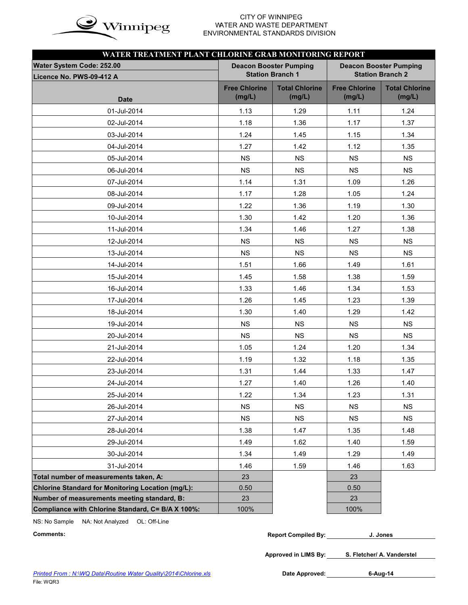

# WATER AND WASTE DEPARTMENT ENVIRONMENTAL STANDARDS DIVISION

| WATER TREATMENT PLANT CHLORINE GRAB MONITORING REPORT |                                |                                 |                                |                                 |  |  |  |  |  |
|-------------------------------------------------------|--------------------------------|---------------------------------|--------------------------------|---------------------------------|--|--|--|--|--|
| <b>Water System Code: 252.00</b>                      |                                | <b>Deacon Booster Pumping</b>   | <b>Deacon Booster Pumping</b>  |                                 |  |  |  |  |  |
| Licence No. PWS-09-412 A                              |                                | <b>Station Branch 1</b>         |                                | <b>Station Branch 2</b>         |  |  |  |  |  |
|                                                       | <b>Free Chlorine</b><br>(mg/L) | <b>Total Chlorine</b><br>(mg/L) | <b>Free Chlorine</b><br>(mg/L) | <b>Total Chlorine</b><br>(mg/L) |  |  |  |  |  |
| <b>Date</b>                                           |                                |                                 |                                |                                 |  |  |  |  |  |
| 01-Jul-2014                                           | 1.13                           | 1.29                            | 1.11                           | 1.24                            |  |  |  |  |  |
| 02-Jul-2014                                           | 1.18                           | 1.36                            | 1.17                           | 1.37                            |  |  |  |  |  |
| 03-Jul-2014                                           | 1.24                           | 1.45                            | 1.15                           | 1.34                            |  |  |  |  |  |
| 04-Jul-2014                                           | 1.27                           | 1.42                            | 1.12                           | 1.35                            |  |  |  |  |  |
| 05-Jul-2014                                           | <b>NS</b>                      | <b>NS</b>                       | <b>NS</b>                      | <b>NS</b>                       |  |  |  |  |  |
| 06-Jul-2014                                           | <b>NS</b>                      | <b>NS</b>                       | <b>NS</b>                      | <b>NS</b>                       |  |  |  |  |  |
| 07-Jul-2014                                           | 1.14                           | 1.31                            | 1.09                           | 1.26                            |  |  |  |  |  |
| 08-Jul-2014                                           | 1.17                           | 1.28                            | 1.05                           | 1.24                            |  |  |  |  |  |
| 09-Jul-2014                                           | 1.22                           | 1.36                            | 1.19                           | 1.30                            |  |  |  |  |  |
| 10-Jul-2014                                           | 1.30                           | 1.42                            | 1.20                           | 1.36                            |  |  |  |  |  |
| 11-Jul-2014                                           | 1.34                           | 1.46                            | 1.27                           | 1.38                            |  |  |  |  |  |
| 12-Jul-2014                                           | <b>NS</b>                      | <b>NS</b>                       | <b>NS</b>                      | <b>NS</b>                       |  |  |  |  |  |
| 13-Jul-2014                                           | <b>NS</b>                      | <b>NS</b>                       | <b>NS</b>                      | <b>NS</b>                       |  |  |  |  |  |
| 14-Jul-2014                                           | 1.51                           | 1.66                            | 1.49                           | 1.61                            |  |  |  |  |  |
| 15-Jul-2014                                           | 1.45                           | 1.58                            | 1.38                           | 1.59                            |  |  |  |  |  |
| 16-Jul-2014                                           | 1.33                           | 1.46                            | 1.34                           | 1.53                            |  |  |  |  |  |
| 17-Jul-2014                                           | 1.26                           | 1.45                            | 1.23                           | 1.39                            |  |  |  |  |  |
| 18-Jul-2014                                           | 1.30                           | 1.40                            | 1.29                           | 1.42                            |  |  |  |  |  |
| 19-Jul-2014                                           | <b>NS</b>                      | <b>NS</b>                       | <b>NS</b>                      | <b>NS</b>                       |  |  |  |  |  |
| 20-Jul-2014                                           | <b>NS</b>                      | <b>NS</b>                       | <b>NS</b>                      | <b>NS</b>                       |  |  |  |  |  |
| 21-Jul-2014                                           | 1.05                           | 1.24                            | 1.20                           | 1.34                            |  |  |  |  |  |
| 22-Jul-2014                                           | 1.19                           | 1.32                            | 1.18                           | 1.35                            |  |  |  |  |  |
| 23-Jul-2014                                           | 1.31                           | 1.44                            | 1.33                           | 1.47                            |  |  |  |  |  |
| 24-Jul-2014                                           | 1.27                           | 1.40                            | 1.26                           | 1.40                            |  |  |  |  |  |
| 25-Jul-2014                                           | 1.22                           | 1.34                            | 1.23                           | 1.31                            |  |  |  |  |  |
| 26-Jul-2014                                           | <b>NS</b>                      | <b>NS</b>                       | <b>NS</b>                      | <b>NS</b>                       |  |  |  |  |  |
| 27-Jul-2014                                           | <b>NS</b>                      | NS                              | NS                             | <b>NS</b>                       |  |  |  |  |  |
| 28-Jul-2014                                           | 1.38                           | 1.47                            | 1.35                           | 1.48                            |  |  |  |  |  |
| 29-Jul-2014                                           | 1.49                           | 1.62                            | 1.40                           | 1.59                            |  |  |  |  |  |
| 30-Jul-2014                                           | 1.34                           | 1.49                            | 1.29                           | 1.49                            |  |  |  |  |  |
| 31-Jul-2014                                           | 1.46                           | 1.59                            | 1.46                           | 1.63                            |  |  |  |  |  |
| Total number of measurements taken, A:                | 23                             |                                 | 23                             |                                 |  |  |  |  |  |
| Chlorine Standard for Monitoring Location (mg/L):     | 0.50                           |                                 | 0.50                           |                                 |  |  |  |  |  |
| Number of measurements meeting standard, B:           | 23                             |                                 | 23                             |                                 |  |  |  |  |  |
| Compliance with Chlorine Standard, C= B/A X 100%:     | 100%                           |                                 | 100%                           |                                 |  |  |  |  |  |

NS: No Sample NA: Not Analyzed OL: Off-Line

| Comments: | <b>Report Compiled By:</b> | . Jones |  |
|-----------|----------------------------|---------|--|
|-----------|----------------------------|---------|--|

**Approved in LIMS By: S. Fletcher/ A. Vanderstel**

Date Approved: 6-Aug-14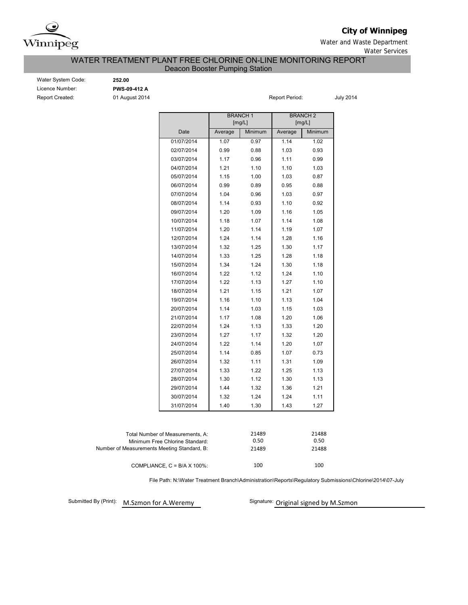

## **City of Winnipeg**

Water and Waste Department Water Services

### WATER TREATMENT PLANT FREE CHLORINE ON-LINE MONITORING REPORT Deacon Booster Pumping Station

| Water System Code: |
|--------------------|
| Licence Number:    |
| Report Created:    |

Water System Code: **252.00** Licence Number: **PWS-09-412 A**

01 August 2014 **Report Period:** Report Period: July 2014

|                                             |                                  | <b>BRANCH1</b><br>[mg/L] |         |         | <b>BRANCH 2</b><br>[mg/L] |  |  |
|---------------------------------------------|----------------------------------|--------------------------|---------|---------|---------------------------|--|--|
|                                             | Date                             | Average                  | Minimum | Average | Minimum                   |  |  |
|                                             | 01/07/2014                       | 1.07                     | 0.97    | 1.14    | 1.02                      |  |  |
|                                             | 02/07/2014                       | 0.99                     | 0.88    | 1.03    | 0.93                      |  |  |
|                                             | 03/07/2014                       | 1.17                     | 0.96    | 1.11    | 0.99                      |  |  |
|                                             | 04/07/2014                       | 1.21                     | 1.10    | 1.10    | 1.03                      |  |  |
|                                             | 05/07/2014                       | 1.15                     | 1.00    | 1.03    | 0.87                      |  |  |
|                                             | 06/07/2014                       | 0.99                     | 0.89    | 0.95    | 0.88                      |  |  |
|                                             | 07/07/2014                       | 1.04                     | 0.96    | 1.03    | 0.97                      |  |  |
|                                             | 08/07/2014                       | 1.14                     | 0.93    | 1.10    | 0.92                      |  |  |
|                                             | 09/07/2014                       | 1.20                     | 1.09    | 1.16    | 1.05                      |  |  |
|                                             | 10/07/2014                       | 1.18                     | 1.07    | 1.14    | 1.08                      |  |  |
|                                             | 11/07/2014                       | 1.20                     | 1.14    | 1.19    | 1.07                      |  |  |
|                                             | 12/07/2014                       | 1.24                     | 1.14    | 1.28    | 1.16                      |  |  |
|                                             | 13/07/2014                       | 1.32                     | 1.25    | 1.30    | 1.17                      |  |  |
|                                             | 14/07/2014                       | 1.33                     | 1.25    | 1.28    | 1.18                      |  |  |
|                                             | 15/07/2014                       | 1.34                     | 1.24    | 1.30    | 1.18                      |  |  |
|                                             | 16/07/2014                       | 1.22                     | 1.12    | 1.24    | 1.10                      |  |  |
|                                             | 17/07/2014                       | 1.22                     | 1.13    | 1.27    | 1.10                      |  |  |
|                                             | 18/07/2014                       | 1.21                     | 1.15    | 1.21    | 1.07                      |  |  |
|                                             | 19/07/2014                       | 1.16                     | 1.10    | 1.13    | 1.04                      |  |  |
|                                             | 20/07/2014                       | 1.14                     | 1.03    | 1.15    | 1.03                      |  |  |
|                                             | 21/07/2014                       | 1.17                     | 1.08    | 1.20    | 1.06                      |  |  |
|                                             | 22/07/2014                       | 1.24                     | 1.13    | 1.33    | 1.20                      |  |  |
|                                             | 23/07/2014                       | 1.27                     | 1.17    | 1.32    | 1.20                      |  |  |
|                                             | 24/07/2014                       | 1.22                     | 1.14    | 1.20    | 1.07                      |  |  |
|                                             | 25/07/2014                       | 1.14                     | 0.85    | 1.07    | 0.73                      |  |  |
|                                             | 26/07/2014                       | 1.32                     | 1.11    | 1.31    | 1.09                      |  |  |
|                                             | 27/07/2014                       | 1.33                     | 1.22    | 1.25    | 1.13                      |  |  |
|                                             | 28/07/2014                       | 1.30                     | 1.12    | 1.30    | 1.13                      |  |  |
|                                             | 29/07/2014                       | 1.44                     | 1.32    | 1.36    | 1.21                      |  |  |
|                                             | 30/07/2014                       | 1.32                     | 1.24    | 1.24    | 1.11                      |  |  |
|                                             | 31/07/2014                       | 1.40                     | 1.30    | 1.43    | 1.27                      |  |  |
|                                             |                                  |                          |         |         |                           |  |  |
|                                             | Total Number of Measurements, A: |                          | 21489   |         | 21488                     |  |  |
|                                             | Minimum Free Chlorine Standard:  |                          | 0.50    |         | 0.50                      |  |  |
| Number of Measurements Meeting Standard, B: |                                  |                          | 21489   |         | 21488                     |  |  |

100 100 COMPLIANCE, C = B/A X 100%:

File Path: N:\Water Treatment Branch\Administration\Reports\Regulatory Submissions\Chlorine\2014\07-July

Submitted By (Print): M.Szmon for A.Weremy

Signature: Original signed by M.Szmon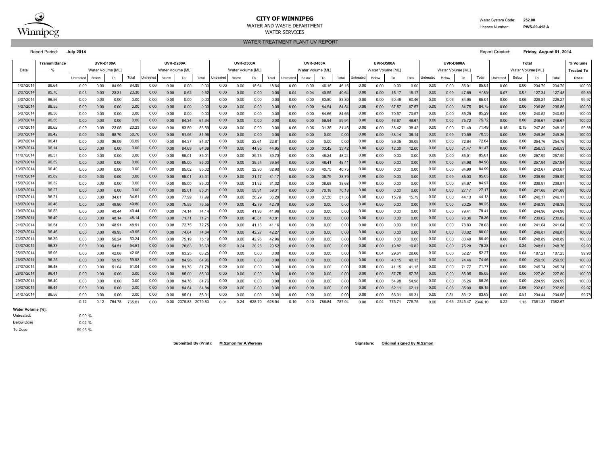

#### **CITY OF WINNIPEG** WATER System Code: 252.00 WATER AND WASTE DEPARTMENT **EXECUTE A SUBSET OF A SUBSET OF A SUBSET OF A SUBSET OF A SUBSET OF A PWS-09-412 A** WATER SERVICES

WATER TREATMENT PLANT UV REPORT

Report Period: **July 2014** Report Created: **Friday, August 01, 2014**

**% Volume Treated To** Untreated Below | To | Total Untreated Below | To | Total |Untreated Below | To | Total |Untreated Below | To | Total |Untreated | Below | To | Total | Dose 0.00 0.00 84.99 0.00 0.00 0.00 0.00 18.64 18.64 0.00 0.00 46.16 46.16 0.00 0.00 0.00 0.00 85.01 0.00 234.79 234.79 100.00 0.03 0.03 23.31 0.00 0.62 0.62 0.00 0.00 0.00 0.04 0.04 40.55 40.64 0.00 15.17 15.17 0.00 47.69 0.07 127.34 127.48 99.89 0.00 0.00 0.00 0.00 0.00 0.00 0.00 0.00 0.00 0.00 0.00 83.80 83.80 0.00 60.46 60.46 0.06 84.95 0.00 229.21 229.27 99.97 0.00 0.00 0.00 0.00 0.00 0.00 0.00 0.00 0.00 0.00 0.00 0.00 0.00 84.54 84.54 0.00 0.00 67.57 67.57 0.00 0.00 84.75 84.75 0.00 0.00 236.86 236.86| 100.00 0.00 0.00 0.00 0.00 0.00 0.00 0.00 0.00 0.00 0.00 0.00 0.00 0.00 84.66 84.66| 0.00 0.00 70.57 70.57| 0.00 0.00 85.29 0.00 0.00 240.52 240.52| 100.00 0.00 0.00 0.00 0.00 64.34 64.34 0.00 0.00 0.00 0.00 0.00 59.94 59.94 0.00 46.67 46.67 0.00 75.72 0.00 246.67 246.67 100.00 0.09 0.09 23.05 0.00 83.59 83.59 0.00 0.00 0.00 0.06 0.06 31.35 31.46 0.00 38.42 38.42 0.00 71.49 0.15 247.89 248.19 99.88 0.00 0.00 58.70 0.00 81.96 81.96 0.00 0.00 0.00 0.00 0.00 0.00 0.00 0.00 38.14 38.14 0.00 70.55 0.00 249.36 249.36 100.00 0.00 0.00 36.09 36.09| 0.00 0.00 84.37 84.37| 0.00 0.00 22.61 22.61| 0.00 0.00 0.00 0.00 0.00 0.00 39.05 0.00 0.00 72.64| 72.64| 0.00 0.00 254.76| 100.00 100 254.76| 100.00 0.00 0.00 0.00 0.00 0.00 84.69 84.69 0.00 0.00 44.95 44.95 0.00 0.00 33.42 33.42 0.00 0.00 12.00 12.00 0.00 81.47 81.47 0.00 0.00 256.53 256.53 100.00 0.00 0.00 0.00 0.00 0.00 85.01 85.01 0.00 0.00 39.73 39.73 0.00 0.00 48.24 48.24 0.00 0.00 0.00 0.00 0.00 85.01 85.01 0.00 0.00 257.99 257.99 100.00 0.00 0.00 0.00 0.00 85.00 85.00 0.00 39.54 39.54 0.00 0.00 48.41 48.41 0.00 0.00 0.00 0.00 84.98 0.00 257.94 257.94 100.00 0.00 0.00 0.00 0.00 85.02 85.02 0.00 32.90 32.90 0.00 0.00 40.75 40.75 0.00 0.00 0.00 0.00 84.99 0.00 243.67 243.67 100.00 0.00 0.00 0.00 0.00 0.00 85.01 85.01 0.00 0.00 31.17 31.17 0.00 0.00 38.79 38.79 0.00 0.00 0.00 0.00 0.00 0.00 85.03 85.03 0.00 0.00 239.99 239.99 100.00 0.00 0.00 0.00 0.00 85.00 85.00 0.00 31.32 31.32 0.00 0.00 38.68 38.68 0.00 0.00 0.00 0.00 84.97 0.00 239.97 239.97 100.00 0.00 0.00 0.00 0.00 0.00 85.01 85.01 0.00 0.00 59.31 59.31| 0.00 0.00 70.18 70.18| 0.00 0.00 0.00 0.00 0.00 0.00 27.17 27.17| 0.00 0.00 241.68 241.68| 100.00 0.00 0.00 34.61 0.00 77.99 77.99 0.00 36.29 36.29 0.00 0.00 37.36 37.36 0.00 15.79 15.79 0.00 44.13 0.00 246.17 246.17 100.00 0.00 0.00 49.80 0.00 75.55 75.55 0.00 42.79 42.79 0.00 0.00 0.00 0.00 0.00 0.00 0.00 0.00 80.25 0.00 248.39 248.39 100.00 0.00 0.00 49.44 0.00 74.14 74.14 0.00 41.96 41.96 0.00 0.00 0.00 0.00 0.00 0.00 0.00 0.00 79.41 0.00 244.96 244.96 100.00 0.00 0.00 48.14 48.14| 0.00 0.00 71.71 71.71| 0.00 0.00 40.81 40.81| 0.00 0.00 0.00 0.00| 0.00 0.00 0.00| 0.00 0.00| 0.00 0.00 0.00 0.00 0.00 239.02 239.02| 100.00 0.00 0.00 48.91 0.00 72.75 72.75 0.00 41.16 41.16 0.00 0.00 0.00 0.00 0.00 0.00 0.00 0.00 78.83 0.00 241.64 241.64 100.00 0.00 0.00 49.95 0.00 74.64 74.64 0.00 42.27 42.27 0.00 0.00 0.00 0.00 0.00 0.00 0.00 0.00 80.02 0.00 246.87 246.87 100.00 0.00 0.00 50.24 50.24| 0.00 0.00 75.19 75.19| 0.00 0.00 42.96| 0.00 0.00 0.00 0.00| 0.00 0.00 0.00| 0.00 0.00| 0.00 0.00 0.00| 0.00 0.00 0.00 248.89| 100.00 10.00 0.00 0.00 54.51 0.00 78.63 78.63 0.24 20.28 20.52 0.00 0.00 0.00 0.00 0.00 19.82 19.82 0.00 75.28 0.01 248.51 248.76 99.90 0.00 0.00 42.08 0.00 63.25 63.25 0.00 0.00 0.00 0.00 0.00 0.00 0.00 0.04 29.61 29.66 0.00 52.27 0.00 187.21 187.25 99.98 0.00 0.00 59.93 0.00 84.96 84.96 0.00 0.00 0.00 0.00 0.00 0.00 0.00 0.00 40.15 40.15 0.00 74.46 0.00 259.50 259.50 100.00 0.00 0.00 51.04 0.00 81.78 81.78 0.00 0.00 0.00 0.00 0.00 0.00 0.00 0.00 41.15 41.15 0.00 71.77 0.00 245.74 245.74 100.00 0.00 0.00 0.00 0.00 85.00 85.00 0.00 0.00 0.00 0.00 0.00 0.00 0.00 0.00 57.75 57.75 0.00 85.05 0.00 227.80 227.80 100.00 0.00 0.00 0.00 0.00 84.76 84.76 0.00 0.00 0.00 0.00 0.00 0.00 0.00 0.00 54.98 54.98 0.00 85.26 0.00 224.99 224.99 100.00 0.00 0.00 0.00 0.00 84.84 84.84 0.00 0.00 0.00 0.00 0.00 0.00 0.00 0.00 62.11 62.11 0.06 85.09 0.00 232.03 232.09 99.97 0.00 0.00 0.00 0.00 85.01 85.01 0.00 0.00 0.00 0.00 0.00 0.00 0.00 0.00 66.31 66.31 0.51 83.12 0.00 234.44 234.95 99.78 0.12 0.12 764.78 765.01 0.00 0.00 2079.83 2079.83 0.01 0.24 628.70 628.94 0.10 0.10 786.84 787.04 0.00 0.04 775.71 775.75 0.00 0.63 2345.47 2346.10 0.22 1.13 7381.33 7382.67 0.00 0.04 775.71 775.75 0.00 0.63 2345.47 2346.10 0.22 1.13 765.01 0.00 0.01 0.00 0.00 62.11 62.11 0.00 0.06 85.09 85.15 0.00 0.06 31/07/2014 96.56 0.00 0.00 0.00 0.00 0.00 83.63 0.51 30/07/2014 96.44 0.00 0.00 0.00 0.00 0.00 85.05 0.00 29/07/2014 96.40 0.00 0.00 0.00 0.00 0.00 85.26 0.00 28/07/2014 96.41 0.00 0.00 0.00 0.00 0.00 74.46 0.00 27/07/2014 96.48 51.04 0.00 0.00 0.00 0.00 71.77 0.00 26/07/2014 96.25 | 0.00 0.00 59.93 59.93 0.00 0.00 84.96 84.96 0.00 0.00 0.00 75.28 0.24 25/07/2014 95.96 42.08 0.00 0.00 0.00 0.00 52.27 0.04 24/07/2014 96.33 | 0.00 0.00 54.51 54.51 0.00 0.00 78.63 78.63 0.01 0.00 0.00 80.02 0.00 23/07/2014 96.39 50.24 0.00 0.00 0.00 0.00 80.49 0.00 22/07/2014 96.46 | 0.00 0.00 49.95 49.95 0.00 0.00 74.64 74.64 0.00 0.00 0.00 78.36 0.00 21/07/2014 96.54 48.91 0.00 0.00 0.00 0.00 78.83 0.00 20/07/2014 96.40 | 0.00 0.00 48.14 48.14| 0.00 0.00 71.71 71.71| 0.00 0.00 0.00 0.00 0.00 0.00 0.00 0.05 0.00 0.00 19/07/2014 96.53 49.44 0.00 0.00 0.00 0.00 79.41 0.00 18/07/2014 96.46 49.80 0.00 0.00 0.00 0.00 27.17 0.00 17/07/2014 96.21 | 0.00 0.00 34.61 34.61 0.00 0.00 77.99 0.00 0.00 36.29 36.29 0.00 0.00 37.36 37.36 0.00 0.00 15.79 15.79 0.00 0.00 44.13 44.13 0.00 0.00 16/07/2014 96.27 | 0.00 0.00 0.00 0.00 0.00 0.00 85.01 85.01 0.00 0.00 0.00 85.03 0.00 15/07/2014 96.32 0.00 0.00 0.00 0.00 0.00 84.97 0.00 14/07/2014 95.89 | 0.00 0.00 0.00 0.00 0.00 0.00 85.01 85.01 0.00 0.00 0.00 0.00 0.00 0.00 0.00 84.98 84.98 0.00 0.00 13/07/2014 96.40 | 0.00 0.00 0.00 0.00 0.00 85.02 85.02| 0.00 0.00 32.90 0.00 0.00 0.00 40.75 40.75| 0.00 0.00 0.00 0.00 0.00 0.00 84.99 84.99| 0.00 0.00 0.00 12/07/2014 96.59 0.00 0.00 0.00 0.00 0.00 81.47 0.00 11/07/2014 96.57 0.00 0.00 0.00 0.00 0.00 85.01 0.00 10/07/2014 96.14 0.00 0.00 0.00 0.00 0.00 38.14 38.14 0.00 0.00 70.55 70.55 0.00 0.00 9/07/2014 96.41 36.09 0.00 0.00 0.00 0.00 72.64 0.00 8/07/2014 96.42 58.70 0.00 0.00 0.00 0.00 46.67 46.67 0.00 0.00 75.72 75.72 0.00 0.00 7/07/2014| 96.62 | 0.09 0.09 23.05 23.23| 0.00 0.00 83.59 83.59| 0.00 0.00 0.00 0.00 0.06 0.06 31.35 31.46| 0.00 0.00 38.42 38.42| 0.00 0.00 71.49 71.49| 0.15 0.15 6/07/2014 96.56 0.00 0.00 0.00 0.00 0.00 84.75 0.00 5/07/2014 96.56 0.00 0.00 0.00 0.00 0.00 85.29 0.00 4/07/2014 96.55 0.00 0.00 0.00 0.00 0.00 47.69 0.07 3/07/2014 96.56 0.00 0.00 0.00 0.00 0.00 85.01 0.06 2/07/2014 95.70 23.36 0.00 0.00 Untreated Below | To | Total Untreated Below | To | Total Untreated Below 1/07/2014| 96.64 | 0.00 0.00 84.99 84.99| 0.00 0.00 0.00| 0.00 0.00 18.64 18.64| 0.00 0.00 46.16 46.16| 0.00 0.00 0.00 0.00 0.00 0.00 85.01 85.01| 0.00 0.00 Total Untreated Below To Total Untreated **UVR-D400A UVR-D500A UVR-D600A Total** Date | % | Water Volume [ML] | Water Volume [ML] | Water Volume [ML] | Water Volume [ML] | Water Volume [ML] | Water Volume [ML] | Water Volume [ML] **Transmittance UVR-D100A UVR-D200A UVR-D300A**

**Water Volume [%]:**

To Dose Below Dose Untreated:

0.00 % 0.02 % 99.98 %

**Submitted By (Print): M.Szmon for A.Weremy Signature: Original signed by M.Szmon**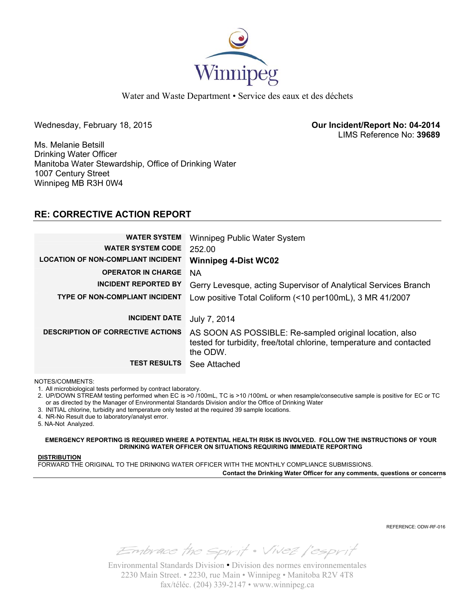

Water and Waste Department • Service des eaux et des déchets

Wednesday, February 18, 2015 **Our Incident/Report No: 04-2014**  LIMS Reference No: **39689**

Ms. Melanie Betsill Drinking Water Officer Manitoba Water Stewardship, Office of Drinking Water 1007 Century Street Winnipeg MB R3H 0W4

## **RE: CORRECTIVE ACTION REPORT**

| <b>WATER SYSTEM</b><br><b>WATER SYSTEM CODE</b> | Winnipeg Public Water System<br>252.00                                                                                                      |
|-------------------------------------------------|---------------------------------------------------------------------------------------------------------------------------------------------|
| <b>LOCATION OF NON-COMPLIANT INCIDENT</b>       | <b>Winnipeg 4-Dist WC02</b>                                                                                                                 |
| <b>OPERATOR IN CHARGE</b>                       | <b>NA</b>                                                                                                                                   |
| <b>INCIDENT REPORTED BY</b>                     | Gerry Levesque, acting Supervisor of Analytical Services Branch                                                                             |
| <b>TYPE OF NON-COMPLIANT INCIDENT</b>           | Low positive Total Coliform (<10 per100mL), 3 MR 41/2007                                                                                    |
|                                                 |                                                                                                                                             |
| <b>INCIDENT DATE</b>                            | July 7, 2014                                                                                                                                |
| <b>DESCRIPTION OF CORRECTIVE ACTIONS</b>        | AS SOON AS POSSIBLE: Re-sampled original location, also<br>tested for turbidity, free/total chlorine, temperature and contacted<br>the ODW. |
| <b>TEST RESULTS</b>                             | See Attached                                                                                                                                |

NOTES/COMMENTS:

1. All microbiological tests performed by contract laboratory.

2. UP/DOWN STREAM testing performed when EC is >0 /100mL, TC is >10 /100mL or when resample/consecutive sample is positive for EC or TC or as directed by the Manager of Environmental Standards Division and/or the Office of Drinking Water

3. INITIAL chlorine, turbidity and temperature only tested at the required 39 sample locations.

4. NR-No Result due to laboratory/analyst error.

5. NA-Not Analyzed.

**EMERGENCY REPORTING IS REQUIRED WHERE A POTENTIAL HEALTH RISK IS INVOLVED. FOLLOW THE INSTRUCTIONS OF YOUR DRINKING WATER OFFICER ON SITUATIONS REQUIRING IMMEDIATE REPORTING**

### **DISTRIBUTION**

FORWARD THE ORIGINAL TO THE DRINKING WATER OFFICER WITH THE MONTHLY COMPLIANCE SUBMISSIONS.

**Contact the Drinking Water Officer for any comments, questions or concerns**

REFERENCE: ODW-RF-016

Embrace the spirit . Vivez l'esprit

Environmental Standards Division • Division des normes environnementales 2230 Main Street. • 2230, rue Main • Winnipeg • Manitoba R2V 4T8 fax/téléc. (204) 339-2147 • www.winnipeg.ca